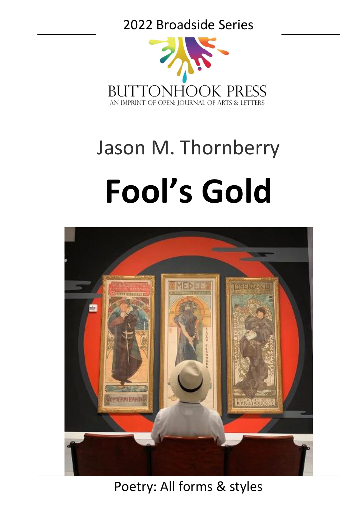### 2022 Broadside Series



# Jason M. Thornberry **Fool's Gold**



Poetry: All forms & styles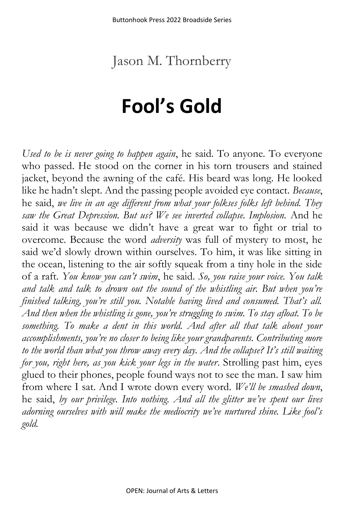## Jason M. Thornberry

# **Fool's Gold**

*Used to be is never going to happen again*, he said. To anyone. To everyone who passed. He stood on the corner in his torn trousers and stained jacket, beyond the awning of the café. His beard was long. He looked like he hadn't slept. And the passing people avoided eye contact. *Because*, he said, *we live in an age different from what your folkses folks left behind. They saw the Great Depression. But us? We see inverted collapse. Implosion.* And he said it was because we didn't have a great war to fight or trial to overcome. Because the word *adversity* was full of mystery to most, he said we'd slowly drown within ourselves. To him, it was like sitting in the ocean, listening to the air softly squeak from a tiny hole in the side of a raft. *You know you can't swim*, he said. *So, you raise your voice. You talk and talk and talk to drown out the sound of the whistling air. But when you're finished talking, you're still you. Notable having lived and consumed. That's all. And then when the whistling is gone, you're struggling to swim. To stay afloat. To be something. To make a dent in this world. And after all that talk about your accomplishments, you're no closer to being like your grandparents. Contributing more to the world than what you throw away every day. And the collapse? It's still waiting for you, right here, as you kick your legs in the water*. Strolling past him, eyes glued to their phones, people found ways not to see the man. I saw him from where I sat. And I wrote down every word. *We'll be smashed down*, he said, *by our privilege. Into nothing. And all the glitter we've spent our lives adorning ourselves with will make the mediocrity we've nurtured shine. Like fool's gold.*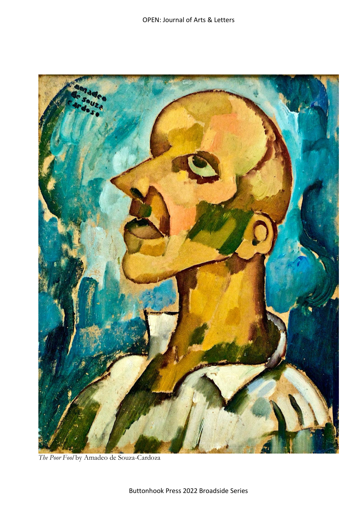

*The Poor Fool* by Amadeo de Souza-Cardoza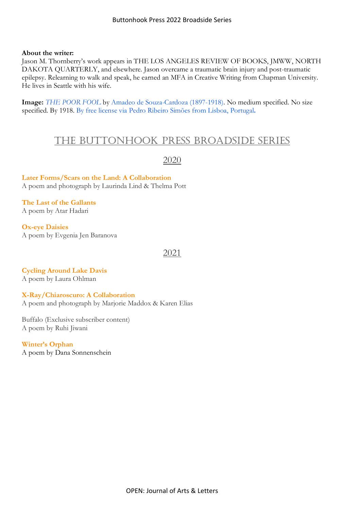#### **About the writer:**

Jason M. Thornberry's work appears in THE LOS ANGELES REVIEW OF BOOKS, JMWW, NORTH DAKOTA QUARTERLY, and elsewhere. Jason overcame a traumatic brain injury and post-traumatic epilepsy. Relearning to walk and speak, he earned an MFA in Creative Writing from Chapman University. He lives in Seattle with his wife.

**Image:** *THE POOR [FOOL](https://upload.wikimedia.org/wikipedia/commons/3/33/The_poor_fool_%28c.1914-1915%29_-_Amadeo_de_Souza-Cardoso%281897-1918%29_%2832771475645%29.jpg)* by Amadeo de [Souza-Cardoza](https://en.wikipedia.org/wiki/Amadeo_de_Souza_Cardoso) (1897-1918). No medium specified. No size specified. By 1918. By free license via Pedro Ribeiro Simões from Lisboa, [Portugal](https://commons.wikimedia.org/wiki/File:The_poor_fool_(c.1914-1915)_-_Amadeo_de_Souza-Cardoso(1897-1918)_(32771475645).jpg)**.**

#### the Buttonhook Press Broadside Series

#### 2020

**[Later Forms/Scars on the Land: A Collaboration](https://ojalart.com/wp-content/uploads/lind.Potts_.Broadside.8.5-x-11-inch-21.59-x-27.94-cm.pdf)** A poem and photograph by Laurinda Lind & Thelma Pott

**[The Last of the Gallants](https://ojalart.com/wp-content/uploads/Hadari.final_.2020-Broadside-Series.pdf)** A poem by Atar Hadari

**[Ox-eye Daisies](https://ojalart.com/wp-content/uploads/Baranova.2020-Broadside-Series.doc.pdf)** A poem by Evgenia Jen Baranova

#### 2021

**[Cycling Around Lake Davis](https://ojalart.com/wp-content/uploads/Ohlmann.2021-Broadside-Series.pdf)** A poem by Laura Ohlman

**[X-Ray/Chiaroscuro: A Collaboration](https://ojalart.com/wp-content/uploads/maddox-broadside.version-2.pdf)** A poem and photograph by Marjorie Maddox & Karen Elias

Buffalo (Exclusive subscriber content) A poem by Ruhi Jiwani

**[Winter's Orphan](https://ojalart.com/buttonhook-press2021-broadside-seriespoetry-all-forms-stylesdana-sonnenscheinwinters-orphan/)**

A poem by Dana Sonnenschein